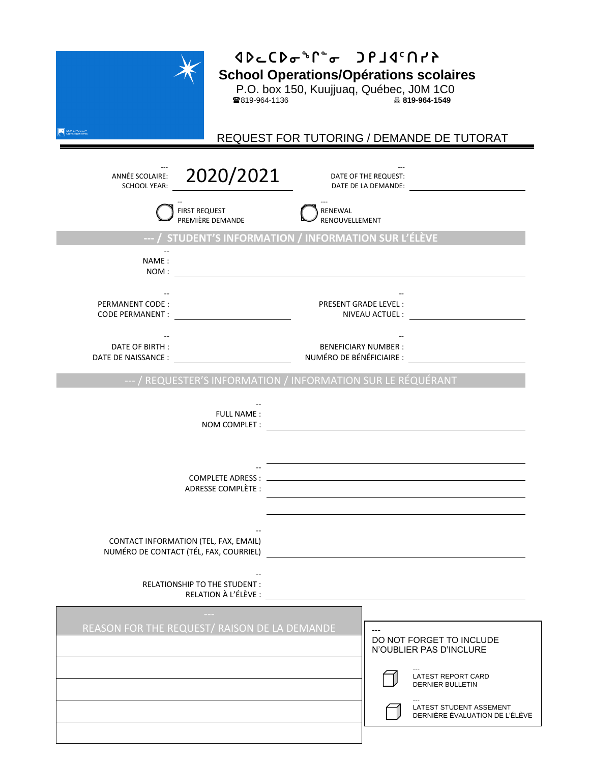

## **xsMbsiq8i grjx5typSchool Operations | Opérations scolaires**

P.O. box 150, Kuujjuaq, Québec, J0M 1C0

819-964-1136 **819-964-1549**

REQUEST FOR TUTORING / DEMANDE DE TUTORAT

| 2020/2021<br>ANNÉE SCOLAIRE:<br><b>SCHOOL YEAR:</b>                             | DATE OF THE REQUEST:<br>DATE DE LA DEMANDE:                                                                                                                                |
|---------------------------------------------------------------------------------|----------------------------------------------------------------------------------------------------------------------------------------------------------------------------|
| <b>FIRST REQUEST</b><br>PREMIÈRE DEMANDE                                        | RENEWAL<br>RENOUVELLEMENT                                                                                                                                                  |
| --- / STUDENT'S INFORMATION / INFORMATION SUR L'ÉLÈVE                           |                                                                                                                                                                            |
| NAME:<br>NOM:                                                                   |                                                                                                                                                                            |
| PERMANENT CODE:<br><b>CODE PERMANENT:</b>                                       | <b>PRESENT GRADE LEVEL:</b><br>NIVEAU ACTUEL :                                                                                                                             |
| DATE OF BIRTH :<br>DATE DE NAISSANCE :                                          | <b>BENEFICIARY NUMBER:</b><br>NUMÉRO DE BÉNÉFICIAIRE :                                                                                                                     |
| --- / REQUESTER'S INFORMATION / INFORMATION SUR LE RÉQUÉRANT                    |                                                                                                                                                                            |
| <b>FULL NAME:</b><br>NOM COMPLET :                                              |                                                                                                                                                                            |
| ADRESSE COMPLÈTE :                                                              |                                                                                                                                                                            |
| CONTACT INFORMATION (TEL, FAX, EMAIL)<br>NUMÉRO DE CONTACT (TÉL, FAX, COURRIEL) |                                                                                                                                                                            |
| RELATIONSHIP TO THE STUDENT:<br>RELATION À L'ÉLÈVE :                            |                                                                                                                                                                            |
| REASON FOR THE REQUEST/ RAISON DE LA DEMANDE                                    | $---$<br>DO NOT FORGET TO INCLUDE<br>N'OUBLIER PAS D'INCLURE<br>LATEST REPORT CARD<br><b>DERNIER BULLETIN</b><br>LATEST STUDENT ASSEMENT<br>DERNIÈRE ÉVALUATION DE L'ÉLÈVE |